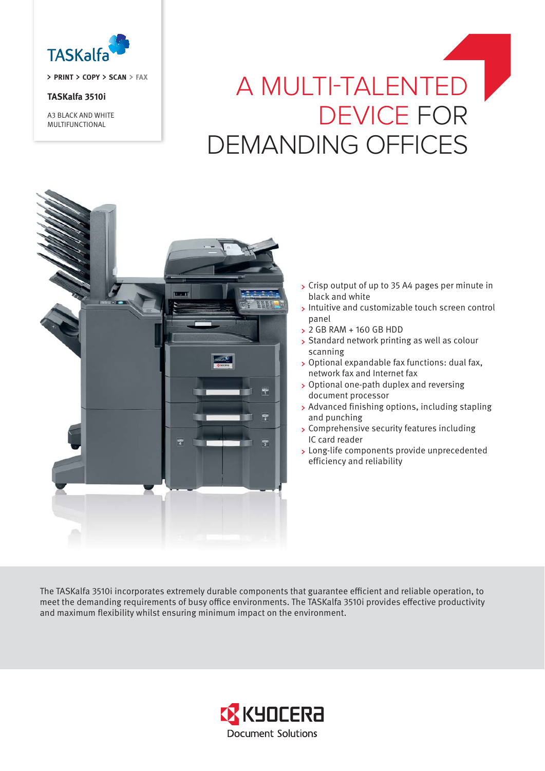

**PRINT COPY SCAN FAX**

# **TASKalfa 3510i**

A3 BLACK AND WHITE MULTIFUNCTIONAL

# A MULTI-TALENTED DEVICE FOR DEMANDING OFFICES



- Crisp output of up to 35 A4 pages per minute in black and white
- Intuitive and customizable touch screen control panel
- 2 GB RAM + 160 GB HDD
- Standard network printing as well as colour scanning
- Optional expandable fax functions: dual fax, network fax and Internet fax
- Optional one-path duplex and reversing document processor
- Advanced finishing options, including stapling and punching
- Comprehensive security features including IC card reader
- Long-life components provide unprecedented efficiency and reliability

The TASKalfa 3510i incorporates extremely durable components that guarantee efficient and reliable operation, to meet the demanding requirements of busy office environments. The TASKalfa 3510i provides effective productivity and maximum flexibility whilst ensuring minimum impact on the environment.